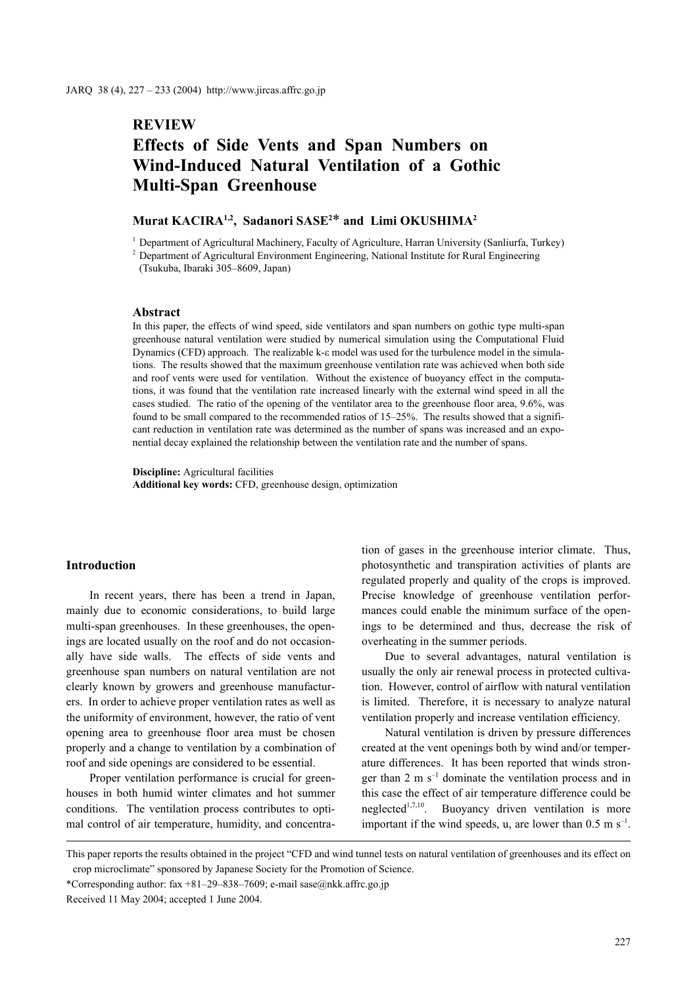# **REVIEW**

# **Effects of Side Vents and Span Numbers on Wind-Induced Natural Ventilation of a Gothic Multi-Span Greenhouse**

## **Murat KACIRA1,2, Sadanori SASE2** \* **and Limi OKUSHIMA2**

<sup>1</sup> Department of Agricultural Machinery, Faculty of Agriculture, Harran University (Sanliurfa, Turkey)

<sup>2</sup> Department of Agricultural Environment Engineering, National Institute for Rural Engineering

#### **Abstract**

In this paper, the effects of wind speed, side ventilators and span numbers on gothic type multi-span greenhouse natural ventilation were studied by numerical simulation using the Computational Fluid Dynamics (CFD) approach. The realizable k-ε model was used for the turbulence model in the simulations. The results showed that the maximum greenhouse ventilation rate was achieved when both side and roof vents were used for ventilation. Without the existence of buoyancy effect in the computations, it was found that the ventilation rate increased linearly with the external wind speed in all the cases studied. The ratio of the opening of the ventilator area to the greenhouse floor area, 9.6%, was found to be small compared to the recommended ratios of 15–25%. The results showed that a significant reduction in ventilation rate was determined as the number of spans was increased and an exponential decay explained the relationship between the ventilation rate and the number of spans.

**Discipline:** Agricultural facilities **Additional key words:** CFD, greenhouse design, optimization

### **Introduction**

In recent years, there has been a trend in Japan, mainly due to economic considerations, to build large multi-span greenhouses. In these greenhouses, the openings are located usually on the roof and do not occasionally have side walls. The effects of side vents and greenhouse span numbers on natural ventilation are not clearly known by growers and greenhouse manufacturers. In order to achieve proper ventilation rates as well as the uniformity of environment, however, the ratio of vent opening area to greenhouse floor area must be chosen properly and a change to ventilation by a combination of roof and side openings are considered to be essential.

Proper ventilation performance is crucial for greenhouses in both humid winter climates and hot summer conditions. The ventilation process contributes to optimal control of air temperature, humidity, and concentration of gases in the greenhouse interior climate. Thus, photosynthetic and transpiration activities of plants are regulated properly and quality of the crops is improved. Precise knowledge of greenhouse ventilation performances could enable the minimum surface of the openings to be determined and thus, decrease the risk of overheating in the summer periods.

Due to several advantages, natural ventilation is usually the only air renewal process in protected cultivation. However, control of airflow with natural ventilation is limited. Therefore, it is necessary to analyze natural ventilation properly and increase ventilation efficiency.

Natural ventilation is driven by pressure differences created at the vent openings both by wind and/or temperature differences. It has been reported that winds stronger than  $2 \text{ m s}^{-1}$  dominate the ventilation process and in this case the effect of air temperature difference could be neglected<sup>1,7,10</sup>. Buoyancy driven ventilation is more important if the wind speeds, u, are lower than  $0.5 \text{ m s}^{-1}$ .

This paper reports the results obtained in the project "CFD and wind tunnel tests on natural ventilation of greenhouses and its effect on crop microclimate" sponsored by Japanese Society for the Promotion of Science.

<sup>(</sup>Tsukuba, Ibaraki 305–8609, Japan)

<sup>\*</sup>Corresponding author: fax +81–29–838–7609; e-mail sase@nkk.affrc.go.jp

Received 11 May 2004; accepted 1 June 2004.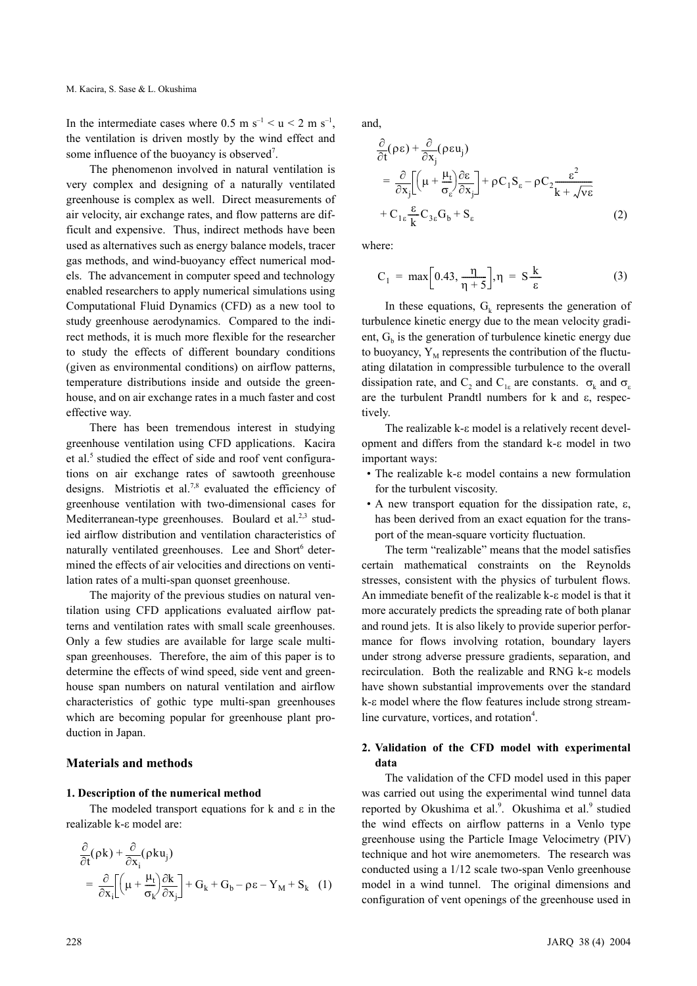In the intermediate cases where 0.5 m s<sup>-1</sup> < u < 2 m s<sup>-1</sup>, the ventilation is driven mostly by the wind effect and some influence of the buoyancy is observed<sup>7</sup>.

The phenomenon involved in natural ventilation is very complex and designing of a naturally ventilated greenhouse is complex as well. Direct measurements of air velocity, air exchange rates, and flow patterns are difficult and expensive. Thus, indirect methods have been used as alternatives such as energy balance models, tracer gas methods, and wind-buoyancy effect numerical models. The advancement in computer speed and technology enabled researchers to apply numerical simulations using Computational Fluid Dynamics (CFD) as a new tool to study greenhouse aerodynamics. Compared to the indirect methods, it is much more flexible for the researcher to study the effects of different boundary conditions (given as environmental conditions) on airflow patterns, temperature distributions inside and outside the greenhouse, and on air exchange rates in a much faster and cost effective way.

There has been tremendous interest in studying greenhouse ventilation using CFD applications. Kacira et al.<sup>5</sup> studied the effect of side and roof vent configurations on air exchange rates of sawtooth greenhouse designs. Mistriotis et al.<sup>7,8</sup> evaluated the efficiency of greenhouse ventilation with two-dimensional cases for Mediterranean-type greenhouses. Boulard et al. $^{2,3}$  studied airflow distribution and ventilation characteristics of naturally ventilated greenhouses. Lee and Short<sup>6</sup> determined the effects of air velocities and directions on ventilation rates of a multi-span quonset greenhouse.

The majority of the previous studies on natural ventilation using CFD applications evaluated airflow patterns and ventilation rates with small scale greenhouses. Only a few studies are available for large scale multispan greenhouses. Therefore, the aim of this paper is to determine the effects of wind speed, side vent and greenhouse span numbers on natural ventilation and airflow characteristics of gothic type multi-span greenhouses which are becoming popular for greenhouse plant production in Japan.

## **Materials and methods**

#### **1. Description of the numerical method**

The modeled transport equations for  $k$  and  $\epsilon$  in the realizable k-ε model are:

$$
\frac{\partial}{\partial t}(\rho k) + \frac{\partial}{\partial x_i}(\rho k u_j)
$$
\n
$$
= \frac{\partial}{\partial x_i} \left[ \left( \mu + \frac{\mu_t}{\sigma_k} \right) \frac{\partial k}{\partial x_j} \right] + G_k + G_b - \rho \epsilon - Y_M + S_k \quad (1)
$$

and,

$$
\frac{\partial}{\partial t}(\rho \varepsilon) + \frac{\partial}{\partial x_j}(\rho \varepsilon u_j) \n= \frac{\partial}{\partial x_j} \Big[ \Big( \mu + \frac{\mu_t}{\sigma_{\varepsilon}} \Big) \frac{\partial \varepsilon}{\partial x_j} \Big] + \rho C_1 S_{\varepsilon} - \rho C_2 \frac{\varepsilon^2}{k + \sqrt{v \varepsilon}} \n+ C_{1\varepsilon} \frac{\varepsilon}{k} C_{3\varepsilon} G_b + S_{\varepsilon}
$$
\n(2)

where:

$$
C_1 = \max\left[0.43, \frac{\eta}{\eta + 5}\right], \eta = S\frac{k}{\varepsilon} \tag{3}
$$

In these equations,  $G_k$  represents the generation of turbulence kinetic energy due to the mean velocity gradient,  $G<sub>b</sub>$  is the generation of turbulence kinetic energy due to buoyancy,  $Y_M$  represents the contribution of the fluctuating dilatation in compressible turbulence to the overall dissipation rate, and C<sub>2</sub> and C<sub>1ε</sub> are constants.  $\sigma_k$  and  $\sigma_{\epsilon}$ are the turbulent Prandtl numbers for k and ε, respectively.

The realizable k-ε model is a relatively recent development and differs from the standard k-ε model in two important ways:

- The realizable k-ε model contains a new formulation for the turbulent viscosity.
- A new transport equation for the dissipation rate,  $ε$ , has been derived from an exact equation for the transport of the mean-square vorticity fluctuation.

The term "realizable" means that the model satisfies certain mathematical constraints on the Reynolds stresses, consistent with the physics of turbulent flows. An immediate benefit of the realizable k-ε model is that it more accurately predicts the spreading rate of both planar and round jets. It is also likely to provide superior performance for flows involving rotation, boundary layers under strong adverse pressure gradients, separation, and recirculation. Both the realizable and RNG k-ε models have shown substantial improvements over the standard k-ε model where the flow features include strong streamline curvature, vortices, and rotation<sup>4</sup>.

## **2. Validation of the CFD model with experimental data**

The validation of the CFD model used in this paper was carried out using the experimental wind tunnel data reported by Okushima et al.<sup>9</sup>. Okushima et al.<sup>9</sup> studied the wind effects on airflow patterns in a Venlo type greenhouse using the Particle Image Velocimetry (PIV) technique and hot wire anemometers. The research was conducted using a 1/12 scale two-span Venlo greenhouse model in a wind tunnel. The original dimensions and configuration of vent openings of the greenhouse used in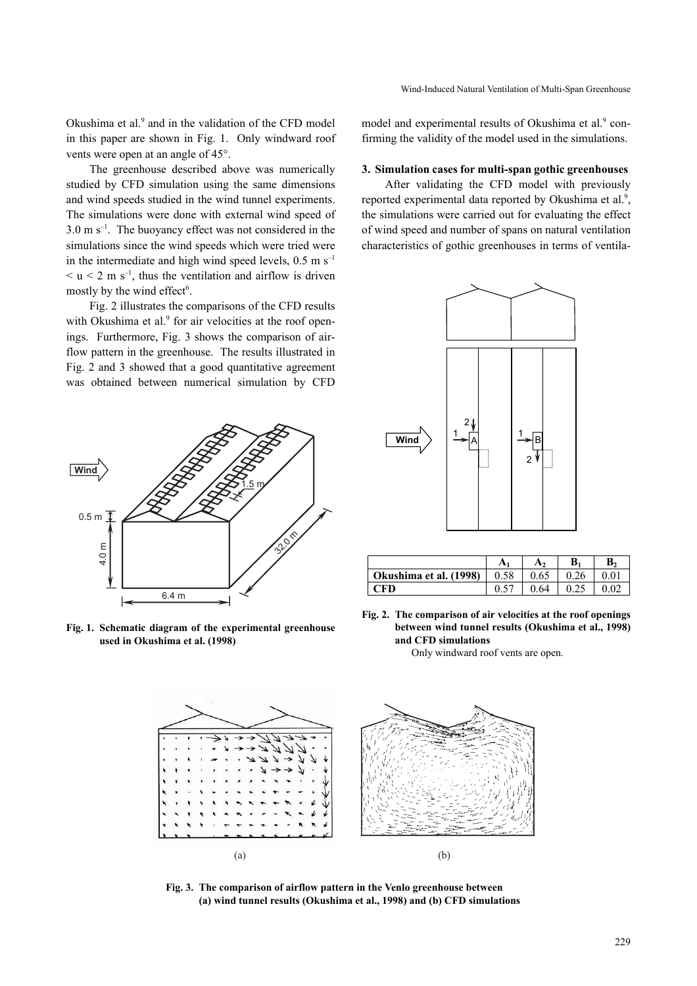Okushima et al.<sup>9</sup> and in the validation of the CFD model in this paper are shown in Fig. 1. Only windward roof vents were open at an angle of 45°.

The greenhouse described above was numerically studied by CFD simulation using the same dimensions and wind speeds studied in the wind tunnel experiments. The simulations were done with external wind speed of  $3.0 \text{ m s}^{-1}$ . The buoyancy effect was not considered in the simulations since the wind speeds which were tried were in the intermediate and high wind speed levels,  $0.5 \text{ m s}^{-1}$  $\leq u \leq 2$  m s<sup>-1</sup>, thus the ventilation and airflow is driven mostly by the wind effect<sup>6</sup>.

Fig. 2 illustrates the comparisons of the CFD results with Okushima et al.<sup>9</sup> for air velocities at the roof openings. Furthermore, Fig. 3 shows the comparison of airflow pattern in the greenhouse. The results illustrated in Fig. 2 and 3 showed that a good quantitative agreement was obtained between numerical simulation by CFD

6.4 m **32.0 m**  $1.5<sub>m</sub>$ **Wind**  0.5 m 4.0 m

**Fig. 1. Schematic diagram of the experimental greenhouse used in Okushima et al. (1998)**

model and experimental results of Okushima et al.<sup>9</sup> confirming the validity of the model used in the simulations.

#### **3. Simulation cases for multi-span gothic greenhouses**

After validating the CFD model with previously reported experimental data reported by Okushima et al.<sup>9</sup>, the simulations were carried out for evaluating the effect of wind speed and number of spans on natural ventilation characteristics of gothic greenhouses in terms of ventila-



| Okushima et al. (1998)   0.58   0.65 |      | 0.26 | 0.01 |
|--------------------------------------|------|------|------|
| + CFD                                | 0.64 | 0.25 | 0.02 |

**Fig. 2. The comparison of air velocities at the roof openings between wind tunnel results (Okushima et al., 1998) and CFD simulations**

Only windward roof vents are open.



**Fig. 3. The comparison of airflow pattern in the Venlo greenhouse between (a) wind tunnel results (Okushima et al., 1998) and (b) CFD simulations**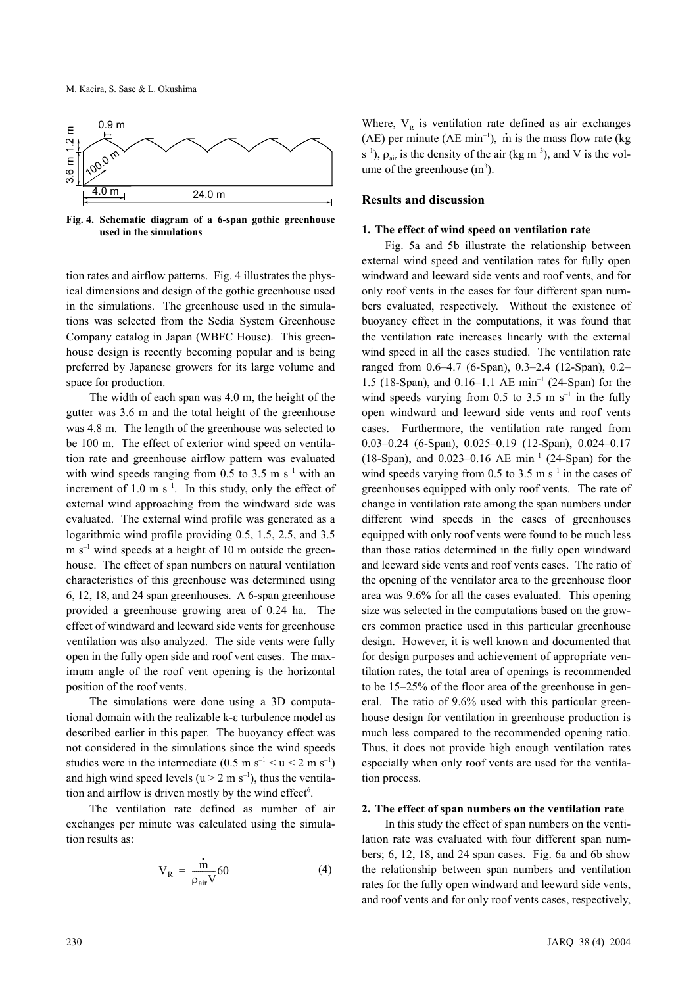

**Fig. 4. Schematic diagram of a 6-span gothic greenhouse used in the simulations**

tion rates and airflow patterns. Fig. 4 illustrates the physical dimensions and design of the gothic greenhouse used in the simulations. The greenhouse used in the simulations was selected from the Sedia System Greenhouse Company catalog in Japan (WBFC House). This greenhouse design is recently becoming popular and is being preferred by Japanese growers for its large volume and space for production.

The width of each span was 4.0 m, the height of the gutter was 3.6 m and the total height of the greenhouse was 4.8 m. The length of the greenhouse was selected to be 100 m. The effect of exterior wind speed on ventilation rate and greenhouse airflow pattern was evaluated with wind speeds ranging from 0.5 to 3.5 m  $s^{-1}$  with an increment of  $1.0 \text{ m s}^{-1}$ . In this study, only the effect of external wind approaching from the windward side was evaluated. The external wind profile was generated as a logarithmic wind profile providing 0.5, 1.5, 2.5, and 3.5  $m s<sup>-1</sup>$  wind speeds at a height of 10 m outside the greenhouse. The effect of span numbers on natural ventilation characteristics of this greenhouse was determined using 6, 12, 18, and 24 span greenhouses. A 6-span greenhouse provided a greenhouse growing area of 0.24 ha. The effect of windward and leeward side vents for greenhouse ventilation was also analyzed. The side vents were fully open in the fully open side and roof vent cases. The maximum angle of the roof vent opening is the horizontal position of the roof vents.

The simulations were done using a 3D computational domain with the realizable k-ε turbulence model as described earlier in this paper. The buoyancy effect was not considered in the simulations since the wind speeds studies were in the intermediate (0.5 m s<sup>-1</sup> < u < 2 m s<sup>-1</sup>) and high wind speed levels ( $u > 2$  m s<sup>-1</sup>), thus the ventilation and airflow is driven mostly by the wind effect<sup>6</sup>.

The ventilation rate defined as number of air exchanges per minute was calculated using the simulation results as:

$$
V_R = \frac{\dot{m}}{\rho_{air} V} 60 \tag{4}
$$

Where,  $V_R$  is ventilation rate defined as air exchanges (AE) per minute (AE min<sup>-1</sup>),  $\dot{m}$  is the mass flow rate (kg s<sup>-1</sup>),  $\rho_{air}$  is the density of the air (kg m<sup>-3</sup>), and V is the volume of the greenhouse  $(m<sup>3</sup>)$ .

## **Results and discussion**

#### **1. The effect of wind speed on ventilation rate**

Fig. 5a and 5b illustrate the relationship between external wind speed and ventilation rates for fully open windward and leeward side vents and roof vents, and for only roof vents in the cases for four different span numbers evaluated, respectively. Without the existence of buoyancy effect in the computations, it was found that the ventilation rate increases linearly with the external wind speed in all the cases studied. The ventilation rate ranged from 0.6–4.7 (6-Span), 0.3–2.4 (12-Span), 0.2– 1.5 (18-Span), and 0.16–1.1 AE min–1 (24-Span) for the wind speeds varying from 0.5 to 3.5 m  $s^{-1}$  in the fully open windward and leeward side vents and roof vents cases. Furthermore, the ventilation rate ranged from 0.03–0.24 (6-Span), 0.025–0.19 (12-Span), 0.024–0.17 (18-Span), and  $0.023-0.16$  AE min<sup>-1</sup> (24-Span) for the wind speeds varying from 0.5 to 3.5 m  $s^{-1}$  in the cases of greenhouses equipped with only roof vents. The rate of change in ventilation rate among the span numbers under different wind speeds in the cases of greenhouses equipped with only roof vents were found to be much less than those ratios determined in the fully open windward and leeward side vents and roof vents cases. The ratio of the opening of the ventilator area to the greenhouse floor area was 9.6% for all the cases evaluated. This opening size was selected in the computations based on the growers common practice used in this particular greenhouse design. However, it is well known and documented that for design purposes and achievement of appropriate ventilation rates, the total area of openings is recommended to be 15–25% of the floor area of the greenhouse in general. The ratio of 9.6% used with this particular greenhouse design for ventilation in greenhouse production is much less compared to the recommended opening ratio. Thus, it does not provide high enough ventilation rates especially when only roof vents are used for the ventilation process.

#### **2. The effect of span numbers on the ventilation rate**

In this study the effect of span numbers on the ventilation rate was evaluated with four different span numbers; 6, 12, 18, and 24 span cases. Fig. 6a and 6b show the relationship between span numbers and ventilation rates for the fully open windward and leeward side vents, and roof vents and for only roof vents cases, respectively,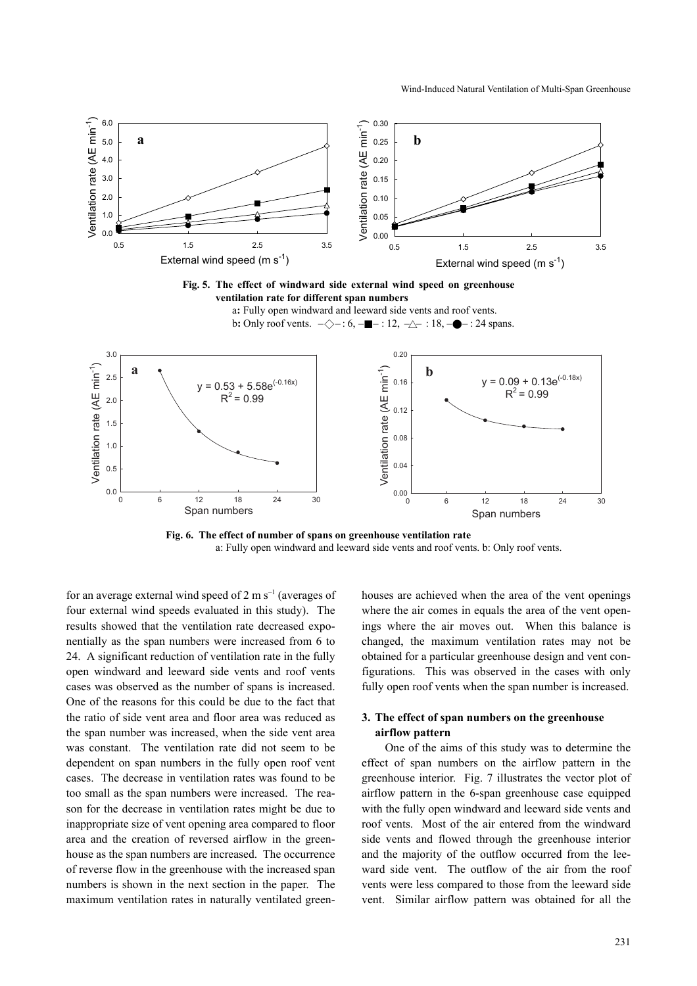

**Fig. 6. The effect of number of spans on greenhouse ventilation rate** a: Fully open windward and leeward side vents and roof vents. b: Only roof vents.

for an average external wind speed of  $2 \text{ m s}^{-1}$  (averages of four external wind speeds evaluated in this study). The results showed that the ventilation rate decreased exponentially as the span numbers were increased from 6 to 24. A significant reduction of ventilation rate in the fully open windward and leeward side vents and roof vents cases was observed as the number of spans is increased. One of the reasons for this could be due to the fact that the ratio of side vent area and floor area was reduced as the span number was increased, when the side vent area was constant. The ventilation rate did not seem to be dependent on span numbers in the fully open roof vent cases. The decrease in ventilation rates was found to be too small as the span numbers were increased. The reason for the decrease in ventilation rates might be due to inappropriate size of vent opening area compared to floor area and the creation of reversed airflow in the greenhouse as the span numbers are increased. The occurrence of reverse flow in the greenhouse with the increased span numbers is shown in the next section in the paper. The maximum ventilation rates in naturally ventilated greenhouses are achieved when the area of the vent openings where the air comes in equals the area of the vent openings where the air moves out. When this balance is changed, the maximum ventilation rates may not be obtained for a particular greenhouse design and vent configurations. This was observed in the cases with only fully open roof vents when the span number is increased.

## **3. The effect of span numbers on the greenhouse airflow pattern**

One of the aims of this study was to determine the effect of span numbers on the airflow pattern in the greenhouse interior. Fig. 7 illustrates the vector plot of airflow pattern in the 6-span greenhouse case equipped with the fully open windward and leeward side vents and roof vents. Most of the air entered from the windward side vents and flowed through the greenhouse interior and the majority of the outflow occurred from the leeward side vent. The outflow of the air from the roof vents were less compared to those from the leeward side vent. Similar airflow pattern was obtained for all the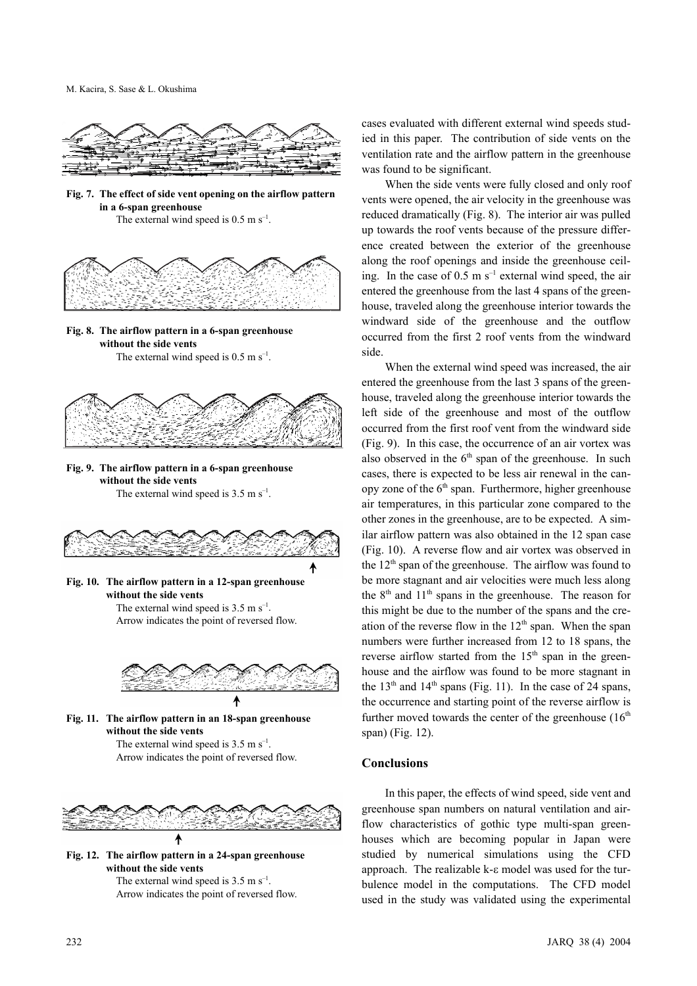

**Fig. 7. The effect of side vent opening on the airflow pattern in a 6-span greenhouse**

The external wind speed is  $0.5 \text{ m s}^{-1}$ .



**Fig. 8. The airflow pattern in a 6-span greenhouse without the side vents** The external wind speed is  $0.5 \text{ m s}^{-1}$ .



**Fig. 9. The airflow pattern in a 6-span greenhouse without the side vents**

The external wind speed is  $3.5 \text{ m s}^{-1}$ .



**Fig. 10. The airflow pattern in a 12-span greenhouse without the side vents**

> The external wind speed is  $3.5 \text{ m s}^{-1}$ . Arrow indicates the point of reversed flow.



**Fig. 11. The airflow pattern in an 18-span greenhouse without the side vents** The external wind speed is  $3.5 \text{ m s}^{-1}$ . Arrow indicates the point of reversed flow.



**Fig. 12. The airflow pattern in a 24-span greenhouse without the side vents** The external wind speed is  $3.5 \text{ m s}^{-1}$ .

Arrow indicates the point of reversed flow.

cases evaluated with different external wind speeds studied in this paper. The contribution of side vents on the ventilation rate and the airflow pattern in the greenhouse was found to be significant.

When the side vents were fully closed and only roof vents were opened, the air velocity in the greenhouse was reduced dramatically (Fig. 8). The interior air was pulled up towards the roof vents because of the pressure difference created between the exterior of the greenhouse along the roof openings and inside the greenhouse ceiling. In the case of  $0.5 \text{ m s}^{-1}$  external wind speed, the air entered the greenhouse from the last 4 spans of the greenhouse, traveled along the greenhouse interior towards the windward side of the greenhouse and the outflow occurred from the first 2 roof vents from the windward side.

When the external wind speed was increased, the air entered the greenhouse from the last 3 spans of the greenhouse, traveled along the greenhouse interior towards the left side of the greenhouse and most of the outflow occurred from the first roof vent from the windward side (Fig. 9). In this case, the occurrence of an air vortex was also observed in the  $6<sup>th</sup>$  span of the greenhouse. In such cases, there is expected to be less air renewal in the canopy zone of the  $6<sup>th</sup>$  span. Furthermore, higher greenhouse air temperatures, in this particular zone compared to the other zones in the greenhouse, are to be expected. A similar airflow pattern was also obtained in the 12 span case (Fig. 10). A reverse flow and air vortex was observed in the  $12<sup>th</sup>$  span of the greenhouse. The airflow was found to be more stagnant and air velocities were much less along the  $8<sup>th</sup>$  and  $11<sup>th</sup>$  spans in the greenhouse. The reason for this might be due to the number of the spans and the creation of the reverse flow in the  $12<sup>th</sup>$  span. When the span numbers were further increased from 12 to 18 spans, the reverse airflow started from the  $15<sup>th</sup>$  span in the greenhouse and the airflow was found to be more stagnant in the  $13<sup>th</sup>$  and  $14<sup>th</sup>$  spans (Fig. 11). In the case of 24 spans, the occurrence and starting point of the reverse airflow is further moved towards the center of the greenhouse  $(16<sup>th</sup>$ span) (Fig. 12).

#### **Conclusions**

In this paper, the effects of wind speed, side vent and greenhouse span numbers on natural ventilation and airflow characteristics of gothic type multi-span greenhouses which are becoming popular in Japan were studied by numerical simulations using the CFD approach. The realizable k-ε model was used for the turbulence model in the computations. The CFD model used in the study was validated using the experimental